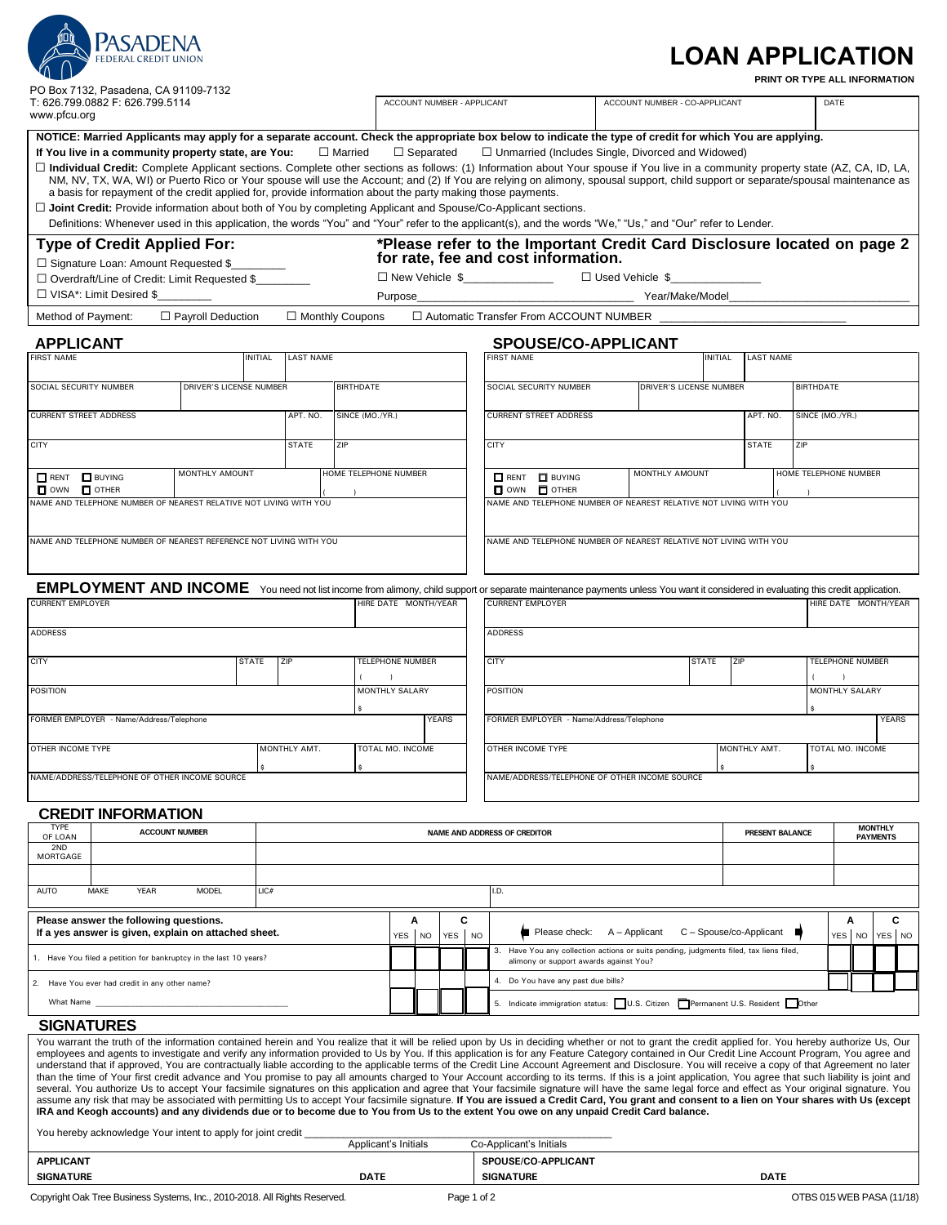|                                                                                                                                                                 |                                                                                                                                                                    |                          |                |                  |                            |                                                                                                                                                                                                     |                  |                                                                            |                                                                                                                                     |                                                                                                                                                                                                                                                                                                                                                                                                                                                                                                                                                                                                                                                                                                                                                                                                                                                                                     |  |                         |                | <b>LOAN APPLICATION</b> | PRINT OR TYPE ALL INFORMATION |             |                                   |              |  |
|-----------------------------------------------------------------------------------------------------------------------------------------------------------------|--------------------------------------------------------------------------------------------------------------------------------------------------------------------|--------------------------|----------------|------------------|----------------------------|-----------------------------------------------------------------------------------------------------------------------------------------------------------------------------------------------------|------------------|----------------------------------------------------------------------------|-------------------------------------------------------------------------------------------------------------------------------------|-------------------------------------------------------------------------------------------------------------------------------------------------------------------------------------------------------------------------------------------------------------------------------------------------------------------------------------------------------------------------------------------------------------------------------------------------------------------------------------------------------------------------------------------------------------------------------------------------------------------------------------------------------------------------------------------------------------------------------------------------------------------------------------------------------------------------------------------------------------------------------------|--|-------------------------|----------------|-------------------------|-------------------------------|-------------|-----------------------------------|--------------|--|
| PO Box 7132, Pasadena, CA 91109-7132<br>T: 626.799.0882 F: 626.799.5114<br>www.pfcu.org                                                                         |                                                                                                                                                                    |                          |                |                  | ACCOUNT NUMBER - APPLICANT |                                                                                                                                                                                                     |                  |                                                                            |                                                                                                                                     | ACCOUNT NUMBER - CO-APPLICANT                                                                                                                                                                                                                                                                                                                                                                                                                                                                                                                                                                                                                                                                                                                                                                                                                                                       |  |                         |                | DATE                    |                               |             |                                   |              |  |
|                                                                                                                                                                 | If You live in a community property state, are You:<br>a basis for repayment of the credit applied for, provide information about the party making those payments. |                          |                |                  | $\Box$ Married             |                                                                                                                                                                                                     | $\Box$ Separated |                                                                            |                                                                                                                                     | NOTICE: Married Applicants may apply for a separate account. Check the appropriate box below to indicate the type of credit for which You are applying.<br>$\Box$ Unmarried (Includes Single, Divorced and Widowed)<br>□ Individual Credit: Complete Applicant sections. Complete other sections as follows: (1) Information about Your spouse if You live in a community property state (AZ, CA, ID, LA,<br>NM, NV, TX, WA, WI) or Puerto Rico or Your spouse will use the Account; and (2) If You are relying on alimony, spousal support, child support or separate/spousal maintenance as<br>$\Box$ Joint Credit: Provide information about both of You by completing Applicant and Spouse/Co-Applicant sections.<br>Definitions: Whenever used in this application, the words "You" and "Your" refer to the applicant(s), and the words "We," "Us," and "Our" refer to Lender. |  |                         |                |                         |                               |             |                                   |              |  |
| <b>Type of Credit Applied For:</b><br>□ Signature Loan: Amount Requested \$<br>□ Overdraft/Line of Credit: Limit Requested \$<br>$\Box$ VISA*: Limit Desired \$ |                                                                                                                                                                    |                          |                |                  | Purpose                    | *Please refer to the Important Credit Card Disclosure located on page 2<br>for rate, fee and cost information.<br>□ New Vehicle \$_______________<br>$\Box$ Used Vehicle $\,$ \$<br>Year/Make/Model |                  |                                                                            |                                                                                                                                     |                                                                                                                                                                                                                                                                                                                                                                                                                                                                                                                                                                                                                                                                                                                                                                                                                                                                                     |  |                         |                |                         |                               |             |                                   |              |  |
| Method of Payment:                                                                                                                                              |                                                                                                                                                                    | $\Box$ Payroll Deduction |                |                  | $\Box$ Monthly Coupons     |                                                                                                                                                                                                     |                  |                                                                            |                                                                                                                                     | $\Box$ Automatic Transfer From ACCOUNT NUMBER                                                                                                                                                                                                                                                                                                                                                                                                                                                                                                                                                                                                                                                                                                                                                                                                                                       |  |                         |                |                         |                               |             |                                   |              |  |
|                                                                                                                                                                 |                                                                                                                                                                    |                          |                |                  |                            |                                                                                                                                                                                                     |                  |                                                                            |                                                                                                                                     |                                                                                                                                                                                                                                                                                                                                                                                                                                                                                                                                                                                                                                                                                                                                                                                                                                                                                     |  |                         |                |                         |                               |             |                                   |              |  |
| <b>APPLICANT</b><br><b>FIRST NAME</b>                                                                                                                           |                                                                                                                                                                    |                          | <b>INITIAL</b> | <b>LAST NAME</b> |                            |                                                                                                                                                                                                     |                  |                                                                            |                                                                                                                                     | SPOUSE/CO-APPLICANT<br><b>FIRST NAME</b>                                                                                                                                                                                                                                                                                                                                                                                                                                                                                                                                                                                                                                                                                                                                                                                                                                            |  |                         | <b>INITIAL</b> | <b>LAST NAME</b>        |                               |             |                                   |              |  |
|                                                                                                                                                                 |                                                                                                                                                                    |                          |                |                  |                            |                                                                                                                                                                                                     |                  |                                                                            |                                                                                                                                     |                                                                                                                                                                                                                                                                                                                                                                                                                                                                                                                                                                                                                                                                                                                                                                                                                                                                                     |  |                         |                |                         |                               |             |                                   |              |  |
| SOCIAL SECURITY NUMBER                                                                                                                                          |                                                                                                                                                                    | DRIVER'S LICENSE NUMBER  |                |                  | <b>BIRTHDATE</b>           |                                                                                                                                                                                                     |                  |                                                                            |                                                                                                                                     | SOCIAL SECURITY NUMBER                                                                                                                                                                                                                                                                                                                                                                                                                                                                                                                                                                                                                                                                                                                                                                                                                                                              |  | DRIVER'S LICENSE NUMBER |                |                         | <b>BIRTHDATE</b>              |             |                                   |              |  |
| <b>CURRENT STREET ADDRESS</b>                                                                                                                                   |                                                                                                                                                                    |                          |                | APT. NO.         | SINCE (MO./YR.)            |                                                                                                                                                                                                     |                  |                                                                            |                                                                                                                                     | <b>CURRENT STREET ADDRESS</b>                                                                                                                                                                                                                                                                                                                                                                                                                                                                                                                                                                                                                                                                                                                                                                                                                                                       |  |                         |                | APT. NO.                | SINCE (MO./YR.)               |             |                                   |              |  |
| <b>CITY</b>                                                                                                                                                     |                                                                                                                                                                    |                          |                | <b>STATE</b>     | ZIP                        |                                                                                                                                                                                                     |                  |                                                                            |                                                                                                                                     | <b>CITY</b>                                                                                                                                                                                                                                                                                                                                                                                                                                                                                                                                                                                                                                                                                                                                                                                                                                                                         |  |                         |                | <b>STATE</b>            | ZIP                           |             |                                   |              |  |
| RENT BUYING<br>$\Box$ OWN $\Box$ OTHER                                                                                                                          |                                                                                                                                                                    | MONTHLY AMOUNT           |                |                  | HOME TELEPHONE NUMBER      |                                                                                                                                                                                                     |                  |                                                                            |                                                                                                                                     | RENT <b>D</b> BUYING<br>$\Box$ own<br>$\Box$ OTHER                                                                                                                                                                                                                                                                                                                                                                                                                                                                                                                                                                                                                                                                                                                                                                                                                                  |  | MONTHLY AMOUNT          |                |                         | HOME TELEPHONE NUMBER         |             |                                   |              |  |
|                                                                                                                                                                 | NAME AND TELEPHONE NUMBER OF NEAREST RELATIVE NOT LIVING WITH YOU                                                                                                  |                          |                |                  |                            |                                                                                                                                                                                                     |                  |                                                                            |                                                                                                                                     | NAME AND TELEPHONE NUMBER OF NEAREST RELATIVE NOT LIVING WITH YOU                                                                                                                                                                                                                                                                                                                                                                                                                                                                                                                                                                                                                                                                                                                                                                                                                   |  |                         |                |                         |                               |             |                                   |              |  |
|                                                                                                                                                                 | NAME AND TELEPHONE NUMBER OF NEAREST REFERENCE NOT LIVING WITH YOU                                                                                                 |                          |                |                  |                            |                                                                                                                                                                                                     |                  |                                                                            |                                                                                                                                     | NAME AND TELEPHONE NUMBER OF NEAREST RELATIVE NOT LIVING WITH YOU                                                                                                                                                                                                                                                                                                                                                                                                                                                                                                                                                                                                                                                                                                                                                                                                                   |  |                         |                |                         |                               |             |                                   |              |  |
| <b>CURRENT EMPLOYER</b>                                                                                                                                         |                                                                                                                                                                    |                          |                |                  |                            | HIRE DATE MONTH/YEAR                                                                                                                                                                                |                  |                                                                            |                                                                                                                                     | EMPLOYMENT AND INCOME You need not list income from alimony, child support or separate maintenance payments unless You want it considered in evaluating this credit application.<br><b>CURRENT EMPLOYER</b>                                                                                                                                                                                                                                                                                                                                                                                                                                                                                                                                                                                                                                                                         |  |                         |                |                         | HIRE DATE MONTH/YEAR          |             |                                   |              |  |
| <b>ADDRESS</b>                                                                                                                                                  |                                                                                                                                                                    |                          |                |                  |                            |                                                                                                                                                                                                     |                  |                                                                            |                                                                                                                                     | <b>ADDRESS</b>                                                                                                                                                                                                                                                                                                                                                                                                                                                                                                                                                                                                                                                                                                                                                                                                                                                                      |  |                         |                |                         |                               |             |                                   |              |  |
| <b>CITY</b>                                                                                                                                                     |                                                                                                                                                                    |                          | <b>STATE</b>   | ZIP              |                            | TELEPHONE NUMBER                                                                                                                                                                                    |                  |                                                                            |                                                                                                                                     | <b>CITY</b>                                                                                                                                                                                                                                                                                                                                                                                                                                                                                                                                                                                                                                                                                                                                                                                                                                                                         |  |                         | <b>STATE</b>   | ZIP                     | <b>TELEPHONE NUMBER</b>       |             |                                   |              |  |
| <b>POSITION</b>                                                                                                                                                 |                                                                                                                                                                    |                          |                |                  |                            | <b>MONTHLY SALARY</b>                                                                                                                                                                               |                  |                                                                            |                                                                                                                                     | <b>POSITION</b>                                                                                                                                                                                                                                                                                                                                                                                                                                                                                                                                                                                                                                                                                                                                                                                                                                                                     |  |                         |                |                         | MONTHLY SALARY                |             |                                   |              |  |
|                                                                                                                                                                 | FORMER EMPLOYER - Name/Address/Telephone                                                                                                                           |                          |                |                  |                            |                                                                                                                                                                                                     |                  | <b>YEARS</b>                                                               |                                                                                                                                     | FORMER EMPLOYER - Name/Address/Telephone                                                                                                                                                                                                                                                                                                                                                                                                                                                                                                                                                                                                                                                                                                                                                                                                                                            |  |                         |                |                         |                               |             |                                   | <b>YEARS</b> |  |
| OTHER INCOME TYPE<br>TOTAL MO. INCOME<br>MONTHLY AMT.                                                                                                           |                                                                                                                                                                    |                          |                |                  |                            |                                                                                                                                                                                                     |                  | OTHER INCOME TYPE                                                          |                                                                                                                                     |                                                                                                                                                                                                                                                                                                                                                                                                                                                                                                                                                                                                                                                                                                                                                                                                                                                                                     |  | MONTHLY AMT.            |                |                         | TOTAL MO. INCOME              |             |                                   |              |  |
|                                                                                                                                                                 | NAME/ADDRESS/TELEPHONE OF OTHER INCOME SOURCE                                                                                                                      |                          |                |                  |                            |                                                                                                                                                                                                     |                  |                                                                            |                                                                                                                                     | NAME/ADDRESS/TELEPHONE OF OTHER INCOME SOURCE                                                                                                                                                                                                                                                                                                                                                                                                                                                                                                                                                                                                                                                                                                                                                                                                                                       |  |                         |                |                         |                               |             |                                   |              |  |
|                                                                                                                                                                 | <b>CREDIT INFORMATION</b>                                                                                                                                          |                          |                |                  |                            |                                                                                                                                                                                                     |                  |                                                                            |                                                                                                                                     |                                                                                                                                                                                                                                                                                                                                                                                                                                                                                                                                                                                                                                                                                                                                                                                                                                                                                     |  |                         |                |                         |                               |             |                                   |              |  |
| <b>TYPE</b><br>OF LOAN                                                                                                                                          | <b>ACCOUNT NUMBER</b>                                                                                                                                              |                          |                |                  |                            |                                                                                                                                                                                                     |                  |                                                                            |                                                                                                                                     | NAME AND ADDRESS OF CREDITOR                                                                                                                                                                                                                                                                                                                                                                                                                                                                                                                                                                                                                                                                                                                                                                                                                                                        |  |                         |                | PRESENT BALANCE         |                               |             | <b>MONTHLY</b><br><b>PAYMENTS</b> |              |  |
| 2ND<br>MORTGAGE                                                                                                                                                 |                                                                                                                                                                    |                          |                |                  |                            |                                                                                                                                                                                                     |                  |                                                                            |                                                                                                                                     |                                                                                                                                                                                                                                                                                                                                                                                                                                                                                                                                                                                                                                                                                                                                                                                                                                                                                     |  |                         |                |                         |                               |             |                                   |              |  |
|                                                                                                                                                                 |                                                                                                                                                                    |                          |                |                  |                            |                                                                                                                                                                                                     |                  |                                                                            |                                                                                                                                     |                                                                                                                                                                                                                                                                                                                                                                                                                                                                                                                                                                                                                                                                                                                                                                                                                                                                                     |  |                         |                |                         |                               |             |                                   |              |  |
| <b>AUTO</b>                                                                                                                                                     | MAKE<br><b>YEAR</b>                                                                                                                                                | <b>MODEL</b>             | LIC#           |                  |                            |                                                                                                                                                                                                     |                  |                                                                            |                                                                                                                                     | I.D.                                                                                                                                                                                                                                                                                                                                                                                                                                                                                                                                                                                                                                                                                                                                                                                                                                                                                |  |                         |                |                         |                               |             |                                   |              |  |
|                                                                                                                                                                 | Please answer the following questions.<br>If a yes answer is given, explain on attached sheet.                                                                     |                          |                |                  |                            | YES                                                                                                                                                                                                 | Α<br><b>NO</b>   | С<br>YES NO                                                                |                                                                                                                                     | Please check:                                                                                                                                                                                                                                                                                                                                                                                                                                                                                                                                                                                                                                                                                                                                                                                                                                                                       |  | A - Applicant           |                | C - Spouse/co-Applicant |                               | Α<br>YES NO |                                   | С<br>YES NO  |  |
| 1. Have You filed a petition for bankruptcy in the last 10 years?                                                                                               |                                                                                                                                                                    |                          |                |                  |                            |                                                                                                                                                                                                     |                  |                                                                            | Have You any collection actions or suits pending, judgments filed, tax liens filed,<br>3.<br>alimony or support awards against You? |                                                                                                                                                                                                                                                                                                                                                                                                                                                                                                                                                                                                                                                                                                                                                                                                                                                                                     |  |                         |                |                         |                               |             |                                   |              |  |
| 2. Have You ever had credit in any other name?                                                                                                                  |                                                                                                                                                                    |                          |                |                  |                            |                                                                                                                                                                                                     |                  |                                                                            | 4. Do You have any past due bills?                                                                                                  |                                                                                                                                                                                                                                                                                                                                                                                                                                                                                                                                                                                                                                                                                                                                                                                                                                                                                     |  |                         |                |                         |                               |             |                                   |              |  |
| What Name                                                                                                                                                       |                                                                                                                                                                    |                          |                |                  |                            |                                                                                                                                                                                                     |                  | 5. Indicate immigration status: U.S. Citizen Permanent U.S. Resident Other |                                                                                                                                     |                                                                                                                                                                                                                                                                                                                                                                                                                                                                                                                                                                                                                                                                                                                                                                                                                                                                                     |  |                         |                |                         |                               |             |                                   |              |  |
| <b>SIGNATURES</b>                                                                                                                                               |                                                                                                                                                                    |                          |                |                  |                            |                                                                                                                                                                                                     |                  |                                                                            |                                                                                                                                     | You warrant the truth of the information contained berein and You realize that it will be relied upon by Us in deciding whether or not to grant the credit applied for You bereby authorize Us Our                                                                                                                                                                                                                                                                                                                                                                                                                                                                                                                                                                                                                                                                                  |  |                         |                |                         |                               |             |                                   |              |  |

You warrant the truth of the information contained herein and You realize that it will be relied upon by Us in deciding whether or not to grant the credit applied for. You hereby authorize Us, Our<br>employees and agents to i than the time of Your first credit advance and You promise to pay all amounts charged to Your Account according to its terms. If this is a joint application, You agree that such liability is joint and<br>several. You authoriz

| You hereby acknowledge Your intent to apply for joint credit               |                      |                            |                           |  |  |  |  |
|----------------------------------------------------------------------------|----------------------|----------------------------|---------------------------|--|--|--|--|
|                                                                            | Applicant's Initials | Co-Applicant's Initials    |                           |  |  |  |  |
| <b>APPLICANT</b>                                                           |                      | <b>SPOUSE/CO-APPLICANT</b> |                           |  |  |  |  |
| <b>SIGNATURE</b>                                                           | <b>DATE</b>          | <b>SIGNATURE</b>           | <b>DATE</b>               |  |  |  |  |
| Copyright Oak Tree Business Systems, Inc., 2010-2018. All Rights Reserved. | Page 1 of 2          |                            | OTBS 015 WEB PASA (11/18) |  |  |  |  |